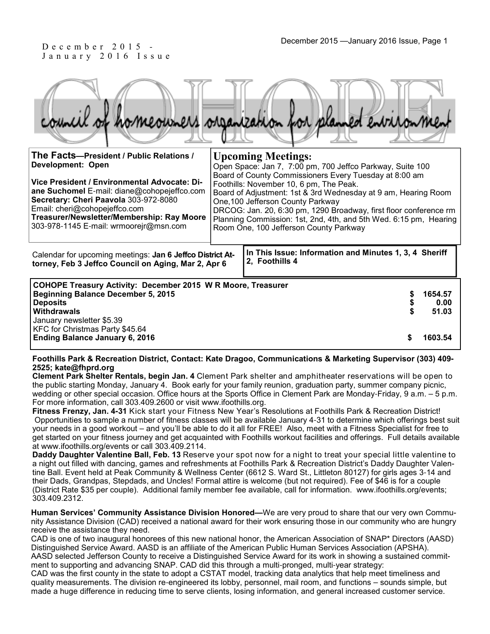# J a n u a r y 2 0 1 6 I s s u e

| council. | of homeowners organization for planned environment |
|----------|----------------------------------------------------|
| I L<br>. |                                                    |

| The Facts-President / Public Relations /<br>Development: Open<br>Vice President / Environmental Advocate: Di-<br>ane Suchomel E-mail: diane@cohopejeffco.com<br>Secretary: Cheri Paavola 303-972-8080<br>Email: cheri@cohopejeffco.com<br>Treasurer/Newsletter/Membership: Ray Moore<br>303-978-1145 E-mail: wrmoorejr@msn.com |  | <b>Upcoming Meetings:</b><br>Open Space: Jan 7, 7:00 pm, 700 Jeffco Parkway, Suite 100<br>Board of County Commissioners Every Tuesday at 8:00 am<br>Foothills: November 10, 6 pm, The Peak.<br>Board of Adjustment: 1st & 3rd Wednesday at 9 am, Hearing Room<br>One, 100 Jefferson County Parkway<br>DRCOG: Jan. 20, 6:30 pm, 1290 Broadway, first floor conference rm<br>Planning Commission: 1st, 2nd, 4th, and 5th Wed. 6:15 pm, Hearing<br>Room One, 100 Jefferson County Parkway |      |
|--------------------------------------------------------------------------------------------------------------------------------------------------------------------------------------------------------------------------------------------------------------------------------------------------------------------------------|--|----------------------------------------------------------------------------------------------------------------------------------------------------------------------------------------------------------------------------------------------------------------------------------------------------------------------------------------------------------------------------------------------------------------------------------------------------------------------------------------|------|
| Calendar for upcoming meetings: Jan 6 Jeffco District At-<br>torney, Feb 3 Jeffco Council on Aging, Mar 2, Apr 6                                                                                                                                                                                                               |  | In This Issue: Information and Minutes 1, 3, 4 Sheriff<br>2, Foothills 4                                                                                                                                                                                                                                                                                                                                                                                                               |      |
| <b>COHOPE Treasury Activity: December 2015 W R Moore, Treasurer</b><br><b>Beginning Balance December 5, 2015</b><br><b>Deposits</b><br><b>Withdrawals</b><br>January newsletter \$5.39<br>KFC for Christmas Party \$45.64<br><b>Ending Balance January 6, 2016</b>                                                             |  | 1654.57<br>51.03<br>1603.54                                                                                                                                                                                                                                                                                                                                                                                                                                                            | 0.00 |

#### **Foothills Park & Recreation District, Contact: Kate Dragoo, Communications & Marketing Supervisor (303) 409- 2525; kate@fhprd.org**

**Clement Park Shelter Rentals, begin Jan. 4** Clement Park shelter and amphitheater reservations will be open to the public starting Monday, January 4. Book early for your family reunion, graduation party, summer company picnic, wedding or other special occasion. Office hours at the Sports Office in Clement Park are Monday-Friday, 9 a.m. – 5 p.m. For more information, call 303.409.2600 or visit www.ifoothills.org.

**Fitness Frenzy, Jan. 4-31** Kick start your Fitness New Year's Resolutions at Foothills Park & Recreation District! Opportunities to sample a number of fitness classes will be available January 4-31 to determine which offerings best suit your needs in a good workout – and you'll be able to do it all for FREE! Also, meet with a Fitness Specialist for free to get started on your fitness journey and get acquainted with Foothills workout facilities and offerings. Full details available at www.ifoothills.org/events or call 303.409.2114.

**Daddy Daughter Valentine Ball, Feb. 13** Reserve your spot now for a night to treat your special little valentine to a night out filled with dancing, games and refreshments at Foothills Park & Recreation District's Daddy Daughter Valentine Ball. Event held at Peak Community & Wellness Center (6612 S. Ward St., Littleton 80127) for girls ages 3-14 and their Dads, Grandpas, Stepdads, and Uncles! Formal attire is welcome (but not required). Fee of \$46 is for a couple (District Rate \$35 per couple). Additional family member fee available, call for information. www.ifoothills.org/events; 303.409.2312.

**Human Services' Community Assistance Division Honored—**We are very proud to share that our very own Community Assistance Division (CAD) received a national award for their work ensuring those in our community who are hungry receive the assistance they need.

CAD is one of two inaugural honorees of this new national honor, the American Association of SNAP\* Directors (AASD) Distinguished Service Award. AASD is an affiliate of the American Public Human Services Association (APSHA). AASD selected Jefferson County to receive a Distinguished Service Award for its work in showing a sustained commit-

ment to supporting and advancing SNAP. CAD did this through a multi-pronged, multi-year strategy: CAD was the first county in the state to adopt a CSTAT model, tracking data analytics that help meet timeliness and

quality measurements. The division re-engineered its lobby, personnel, mail room, and functions – sounds simple, but made a huge difference in reducing time to serve clients, losing information, and general increased customer service.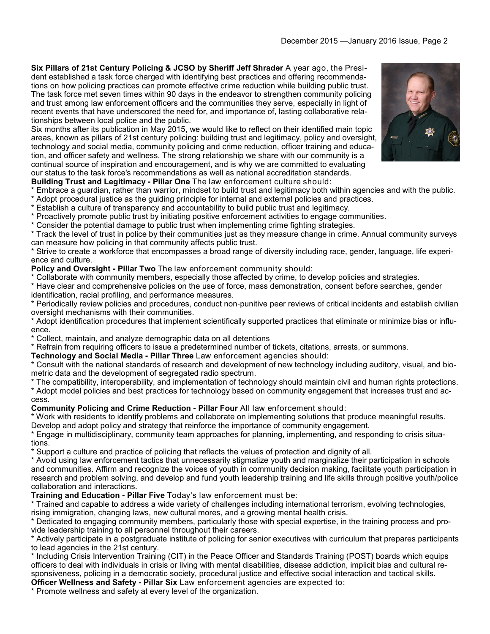**Six Pillars of 21st Century Policing & JCSO by Sheriff Jeff Shrader** A year ago, the President established a task force charged with identifying best practices and offering recommendations on how policing practices can promote effective crime reduction while building public trust. The task force met seven times within 90 days in the endeavor to strengthen community policing and trust among law enforcement officers and the communities they serve, especially in light of recent events that have underscored the need for, and importance of, lasting collaborative relationships between local police and the public.

Six months after its publication in May 2015, we would like to reflect on their identified main topic areas, known as pillars of 21st century policing: building trust and legitimacy, policy and oversight, technology and social media, community policing and crime reduction, officer training and education, and officer safety and wellness. The strong relationship we share with our community is a continual source of inspiration and encouragement, and is why we are committed to evaluating our status to the task force's recommendations as well as national accreditation standards.

### **Building Trust and Legitimacy - Pillar One** The law enforcement culture should:

- \* Embrace a guardian, rather than warrior, mindset to build trust and legitimacy both within agencies and with the public.
- \* Adopt procedural justice as the guiding principle for internal and external policies and practices.
- \* Establish a culture of transparency and accountability to build public trust and legitimacy.
- \* Proactively promote public trust by initiating positive enforcement activities to engage communities.

\* Consider the potential damage to public trust when implementing crime fighting strategies.

\* Track the level of trust in police by their communities just as they measure change in crime. Annual community surveys can measure how policing in that community affects public trust.

\* Strive to create a workforce that encompasses a broad range of diversity including race, gender, language, life experience and culture.

**Policy and Oversight - Pillar Two** The law enforcement community should:

\* Collaborate with community members, especially those affected by crime, to develop policies and strategies.

\* Have clear and comprehensive policies on the use of force, mass demonstration, consent before searches, gender identification, racial profiling, and performance measures.

\* Periodically review policies and procedures, conduct non-punitive peer reviews of critical incidents and establish civilian oversight mechanisms with their communities.

\* Adopt identification procedures that implement scientifically supported practices that eliminate or minimize bias or influence.

\* Collect, maintain, and analyze demographic data on all detentions

\* Refrain from requiring officers to issue a predetermined number of tickets, citations, arrests, or summons.

**Technology and Social Media - Pillar Three** Law enforcement agencies should:

\* Consult with the national standards of research and development of new technology including auditory, visual, and biometric data and the development of segregated radio spectrum.

\* The compatibility, interoperability, and implementation of technology should maintain civil and human rights protections.

\* Adopt model policies and best practices for technology based on community engagement that increases trust and access.

## **Community Policing and Crime Reduction - Pillar Four** All law enforcement should:

\* Work with residents to identify problems and collaborate on implementing solutions that produce meaningful results. Develop and adopt policy and strategy that reinforce the importance of community engagement.

\* Engage in multidisciplinary, community team approaches for planning, implementing, and responding to crisis situations.

\* Support a culture and practice of policing that reflects the values of protection and dignity of all.

\* Avoid using law enforcement tactics that unnecessarily stigmatize youth and marginalize their participation in schools and communities. Affirm and recognize the voices of youth in community decision making, facilitate youth participation in research and problem solving, and develop and fund youth leadership training and life skills through positive youth/police collaboration and interactions.

## **Training and Education - Pillar Five** Today's law enforcement must be:

\* Trained and capable to address a wide variety of challenges including international terrorism, evolving technologies, rising immigration, changing laws, new cultural mores, and a growing mental health crisis.

\* Dedicated to engaging community members, particularly those with special expertise, in the training process and provide leadership training to all personnel throughout their careers.

\* Actively participate in a postgraduate institute of policing for senior executives with curriculum that prepares participants to lead agencies in the 21st century.

\* Including Crisis Intervention Training (CIT) in the Peace Officer and Standards Training (POST) boards which equips officers to deal with individuals in crisis or living with mental disabilities, disease addiction, implicit bias and cultural responsiveness, policing in a democratic society, procedural justice and effective social interaction and tactical skills.

**Officer Wellness and Safety - Pillar Six** Law enforcement agencies are expected to:

\* Promote wellness and safety at every level of the organization.

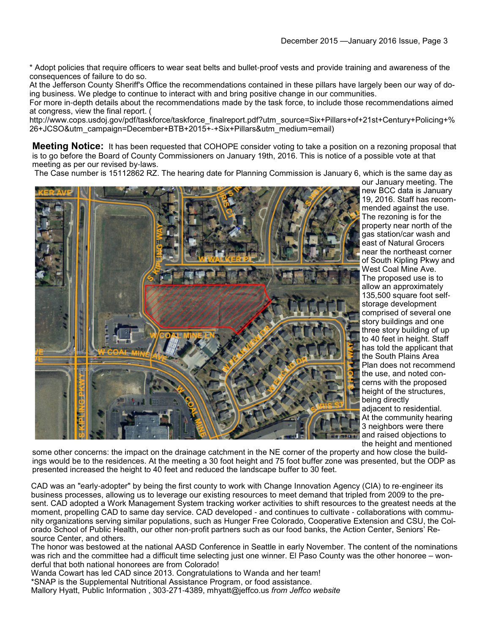\* Adopt policies that require officers to wear seat belts and bullet-proof vests and provide training and awareness of the consequences of failure to do so.

At the Jefferson County Sheriff's Office the recommendations contained in these pillars have largely been our way of doing business. We pledge to continue to interact with and bring positive change in our communities.

For more in-depth details about the recommendations made by the task force, to include those recommendations aimed at congress, view the final report. (

http://www.cops.usdoj.gov/pdf/taskforce/taskforce\_finalreport.pdf?utm\_source=Six+Pillars+of+21st+Century+Policing+% 26+JCSO&utm\_campaign=December+BTB+2015+-+Six+Pillars&utm\_medium=email)

**Meeting Notice:** It has been requested that COHOPE consider voting to take a position on a rezoning proposal that is to go before the Board of County Commissioners on January 19th, 2016. This is notice of a possible vote at that meeting as per our revised by-laws.

The Case number is 15112862 RZ. The hearing date for Planning Commission is January 6, which is the same day as



our January meeting. The new BCC data is January 19, 2016. Staff has recommended against the use. The rezoning is for the property near north of the gas station/car wash and east of Natural Grocers near the northeast corner of South Kipling Pkwy and West Coal Mine Ave. The proposed use is to allow an approximately 135,500 square foot selfstorage development comprised of several one story buildings and one three story building of up to 40 feet in height. Staff has told the applicant that the South Plains Area Plan does not recommend the use, and noted concerns with the proposed height of the structures, being directly adjacent to residential. At the community hearing 3 neighbors were there **and raised objections to** the height and mentioned

some other concerns: the impact on the drainage catchment in the NE corner of the property and how close the buildings would be to the residences. At the meeting a 30 foot height and 75 foot buffer zone was presented, but the ODP as presented increased the height to 40 feet and reduced the landscape buffer to 30 feet.

CAD was an "early-adopter" by being the first county to work with Change Innovation Agency (CIA) to re-engineer its business processes, allowing us to leverage our existing resources to meet demand that tripled from 2009 to the present. CAD adopted a Work Management System tracking worker activities to shift resources to the greatest needs at the moment, propelling CAD to same day service. CAD developed - and continues to cultivate - collaborations with community organizations serving similar populations, such as Hunger Free Colorado, Cooperative Extension and CSU, the Colorado School of Public Health, our other non-profit partners such as our food banks, the Action Center, Seniors' Resource Center, and others.

The honor was bestowed at the national AASD Conference in Seattle in early November. The content of the nominations was rich and the committee had a difficult time selecting just one winner. El Paso County was the other honoree – wonderful that both national honorees are from Colorado!

Wanda Cowart has led CAD since 2013. Congratulations to Wanda and her team!

\*SNAP is the Supplemental Nutritional Assistance Program, or food assistance.

Mallory Hyatt, Public Information , 303-271-4389, mhyatt@jeffco.us *from Jeffco website*